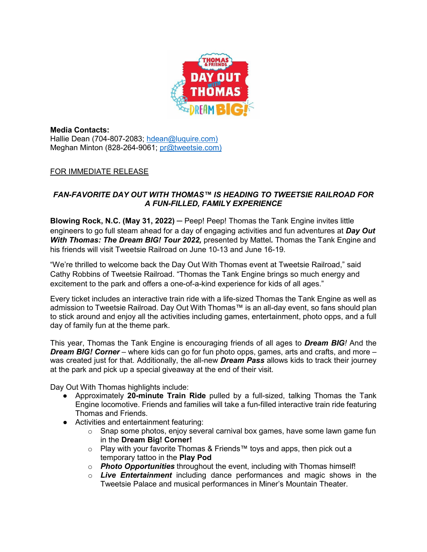

**Media Contacts:** Hallie Dean (704-807-2083; [hdean@luquire.com\)](mailto:hdean@luquire.com) Meghan Minton (828-264-9061; [pr@tweetsie.com\)](about:blank)

## FOR IMMEDIATE RELEASE

## *FAN-FAVORITE DAY OUT WITH THOMAS™ IS HEADING TO TWEETSIE RAILROAD FOR A FUN-FILLED, FAMILY EXPERIENCE*

**Blowing Rock, N.C. (May 31, 2022)** ─ Peep! Peep! Thomas the Tank Engine invites little engineers to go full steam ahead for a day of engaging activities and fun adventures at *Day Out With Thomas: The Dream BIG! Tour 2022,* presented by Mattel*.* Thomas the Tank Engine and his friends will visit Tweetsie Railroad on June 10-13 and June 16-19.

"We're thrilled to welcome back the Day Out With Thomas event at Tweetsie Railroad," said Cathy Robbins of Tweetsie Railroad. "Thomas the Tank Engine brings so much energy and excitement to the park and offers a one-of-a-kind experience for kids of all ages."

Every ticket includes an interactive train ride with a life-sized Thomas the Tank Engine as well as admission to Tweetsie Railroad. Day Out With Thomas™ is an all-day event, so fans should plan to stick around and enjoy all the activities including games, entertainment, photo opps, and a full day of family fun at the theme park.

This year, Thomas the Tank Engine is encouraging friends of all ages to *Dream BIG!* And the *Dream BIG! Corner* – where kids can go for fun photo opps, games, arts and crafts, and more – was created just for that. Additionally, the all-new *Dream Pass* allows kids to track their journey at the park and pick up a special giveaway at the end of their visit.

Day Out With Thomas highlights include:

- Approximately **20-minute Train Ride** pulled by a full-sized, talking Thomas the Tank Engine locomotive. Friends and families will take a fun-filled interactive train ride featuring Thomas and Friends.
- Activities and entertainment featuring:
	- $\circ$  Snap some photos, enjoy several carnival box games, have some lawn game fun in the **Dream Big! Corner!**
	- o Play with your favorite Thomas & Friends™ toys and apps, then pick out a temporary tattoo in the **Play Pod**
	- o *Photo Opportunities* throughout the event, including with Thomas himself!
	- o *Live Entertainment* including dance performances and magic shows in the Tweetsie Palace and musical performances in Miner's Mountain Theater.